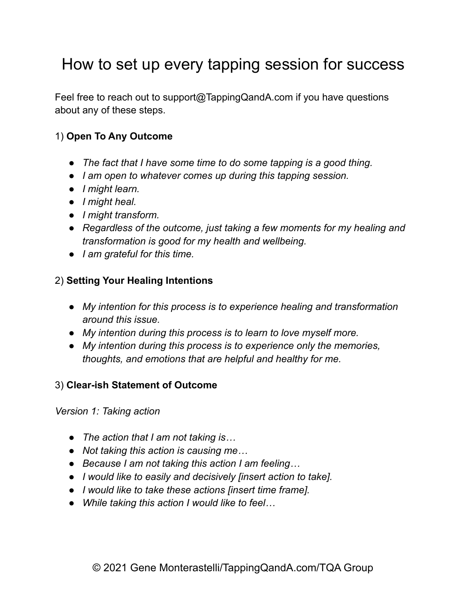# How to set up every tapping session for success

Feel free to reach out to support@TappingQandA.com if you have questions about any of these steps.

### 1) **Open To Any Outcome**

- *● The fact that I have some time to do some tapping is a good thing.*
- *● I am open to whatever comes up during this tapping session.*
- *● I might learn.*
- *● I might heal.*
- *● I might transform.*
- *● Regardless of the outcome, just taking a few moments for my healing and transformation is good for my health and wellbeing.*
- *● I am grateful for this time.*

#### 2) **Setting Your Healing Intentions**

- *● My intention for this process is to experience healing and transformation around this issue.*
- *● My intention during this process is to learn to love myself more.*
- *● My intention during this process is to experience only the memories, thoughts, and emotions that are helpful and healthy for me.*

#### 3) **Clear-ish Statement of Outcome**

*Version 1: Taking action*

- *● The action that I am not taking is…*
- *● Not taking this action is causing me…*
- *● Because I am not taking this action I am feeling…*
- *● I would like to easily and decisively [insert action to take].*
- *● I would like to take these actions [insert time frame].*
- *● While taking this action I would like to feel…*